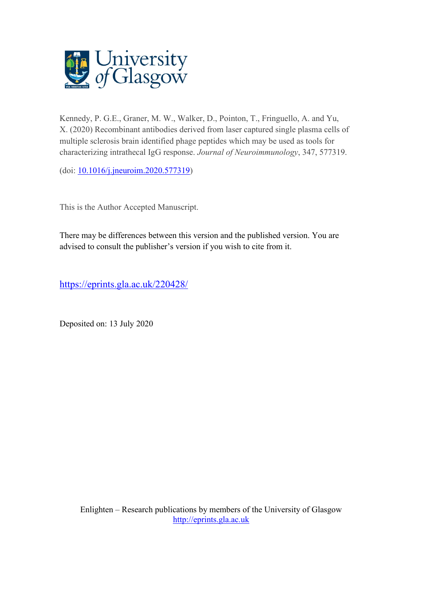

Kennedy, P. G.E., Graner, M. W., Walker, D., Pointon, T., Fringuello, A. and Yu, X. (2020) Recombinant antibodies derived from laser captured single plasma cells of multiple sclerosis brain identified phage peptides which may be used as tools for characterizing intrathecal IgG response. *Journal of Neuroimmunology*, 347, 577319.

(doi: [10.1016/j.jneuroim.2020.577319\)](http://dx.doi.org/10.1016/j.jneuroim.2020.577319)

This is the Author Accepted Manuscript.

There may be differences between this version and the published version. You are advised to consult the publisher's version if you wish to cite from it.

<https://eprints.gla.ac.uk/220428/>

Deposited on: 13 July 2020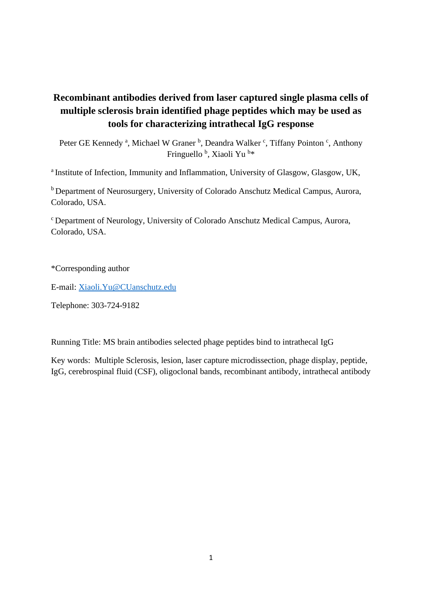# **Recombinant antibodies derived from laser captured single plasma cells of multiple sclerosis brain identified phage peptides which may be used as tools for characterizing intrathecal IgG response**

Peter GE Kennedy<sup>a</sup>, Michael W Graner<sup>b</sup>, Deandra Walker<sup>c</sup>, Tiffany Pointon<sup>c</sup>, Anthony Fringuello<sup>b</sup>, Xiaoli Yu<sup>b\*</sup>

<sup>a</sup> Institute of Infection, Immunity and Inflammation, University of Glasgow, Glasgow, UK,

<sup>b</sup> Department of Neurosurgery, University of Colorado Anschutz Medical Campus, Aurora, Colorado, USA.

<sup>c</sup>Department of Neurology, University of Colorado Anschutz Medical Campus, Aurora, Colorado, USA.

\*Corresponding author

E-mail: [Xiaoli.Yu@CUanschutz.edu](mailto:Xiaoli.Yu@CUanschutz.edu)

Telephone: 303-724-9182

Running Title: MS brain antibodies selected phage peptides bind to intrathecal IgG

Key words: Multiple Sclerosis, lesion, laser capture microdissection, phage display, peptide, IgG, cerebrospinal fluid (CSF), oligoclonal bands, recombinant antibody, intrathecal antibody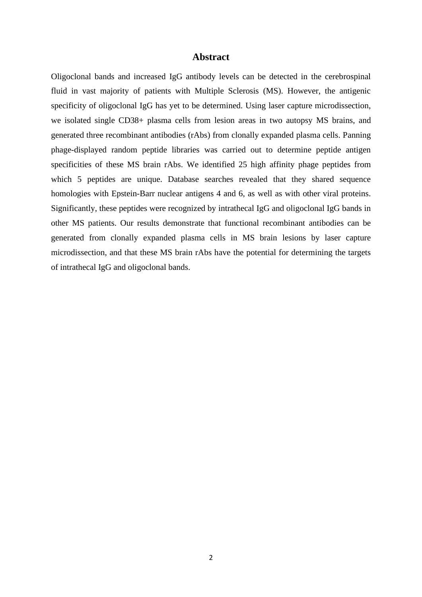## **Abstract**

Oligoclonal bands and increased IgG antibody levels can be detected in the cerebrospinal fluid in vast majority of patients with Multiple Sclerosis (MS). However, the antigenic specificity of oligoclonal IgG has yet to be determined. Using laser capture microdissection, we isolated single CD38+ plasma cells from lesion areas in two autopsy MS brains, and generated three recombinant antibodies (rAbs) from clonally expanded plasma cells. Panning phage-displayed random peptide libraries was carried out to determine peptide antigen specificities of these MS brain rAbs. We identified 25 high affinity phage peptides from which 5 peptides are unique. Database searches revealed that they shared sequence homologies with Epstein-Barr nuclear antigens 4 and 6, as well as with other viral proteins. Significantly, these peptides were recognized by intrathecal IgG and oligoclonal IgG bands in other MS patients. Our results demonstrate that functional recombinant antibodies can be generated from clonally expanded plasma cells in MS brain lesions by laser capture microdissection, and that these MS brain rAbs have the potential for determining the targets of intrathecal IgG and oligoclonal bands.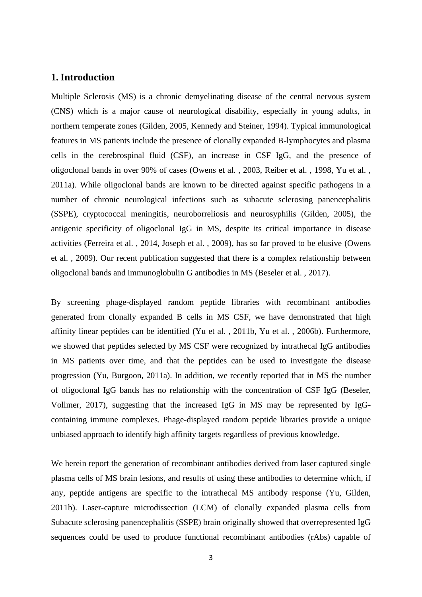## **1. Introduction**

Multiple Sclerosis (MS) is a chronic demyelinating disease of the central nervous system (CNS) which is a major cause of neurological disability, especially in young adults, in northern temperate zones (Gilden, 2005, Kennedy and Steiner, 1994). Typical immunological features in MS patients include the presence of clonally expanded B-lymphocytes and plasma cells in the cerebrospinal fluid (CSF), an increase in CSF IgG, and the presence of oligoclonal bands in over 90% of cases (Owens et al. , 2003, Reiber et al. , 1998, Yu et al. , 2011a). While oligoclonal bands are known to be directed against specific pathogens in a number of chronic neurological infections such as subacute sclerosing panencephalitis (SSPE), cryptococcal meningitis, neuroborreliosis and neurosyphilis (Gilden, 2005), the antigenic specificity of oligoclonal IgG in MS, despite its critical importance in disease activities (Ferreira et al. , 2014, Joseph et al. , 2009), has so far proved to be elusive (Owens et al. , 2009). Our recent publication suggested that there is a complex relationship between oligoclonal bands and immunoglobulin G antibodies in MS (Beseler et al. , 2017).

By screening phage-displayed random peptide libraries with recombinant antibodies generated from clonally expanded B cells in MS CSF, we have demonstrated that high affinity linear peptides can be identified (Yu et al. , 2011b, Yu et al. , 2006b). Furthermore, we showed that peptides selected by MS CSF were recognized by intrathecal IgG antibodies in MS patients over time, and that the peptides can be used to investigate the disease progression (Yu, Burgoon, 2011a). In addition, we recently reported that in MS the number of oligoclonal IgG bands has no relationship with the concentration of CSF IgG (Beseler, Vollmer, 2017), suggesting that the increased IgG in MS may be represented by IgGcontaining immune complexes. Phage-displayed random peptide libraries provide a unique unbiased approach to identify high affinity targets regardless of previous knowledge.

We herein report the generation of recombinant antibodies derived from laser captured single plasma cells of MS brain lesions, and results of using these antibodies to determine which, if any, peptide antigens are specific to the intrathecal MS antibody response (Yu, Gilden, 2011b). Laser-capture microdissection (LCM) of clonally expanded plasma cells from Subacute sclerosing panencephalitis (SSPE) brain originally showed that overrepresented IgG sequences could be used to produce functional recombinant antibodies (rAbs) capable of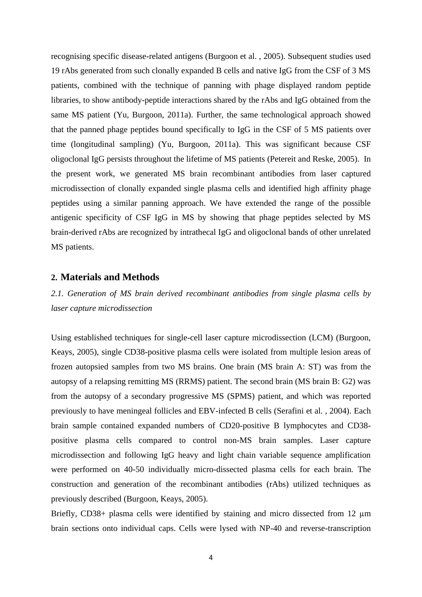recognising specific disease-related antigens (Burgoon et al. , 2005). Subsequent studies used 19 rAbs generated from such clonally expanded B cells and native IgG from the CSF of 3 MS patients, combined with the technique of panning with phage displayed random peptide libraries, to show antibody-peptide interactions shared by the rAbs and IgG obtained from the same MS patient (Yu, Burgoon, 2011a). Further, the same technological approach showed that the panned phage peptides bound specifically to IgG in the CSF of 5 MS patients over time (longitudinal sampling) (Yu, Burgoon, 2011a). This was significant because CSF oligoclonal IgG persists throughout the lifetime of MS patients (Petereit and Reske, 2005). In the present work, we generated MS brain recombinant antibodies from laser captured microdissection of clonally expanded single plasma cells and identified high affinity phage peptides using a similar panning approach. We have extended the range of the possible antigenic specificity of CSF IgG in MS by showing that phage peptides selected by MS brain-derived rAbs are recognized by intrathecal IgG and oligoclonal bands of other unrelated MS patients.

### **2. Materials and Methods**

*2.1. Generation of MS brain derived recombinant antibodies from single plasma cells by laser capture microdissection*

Using established techniques for single-cell laser capture microdissection (LCM) (Burgoon, Keays, 2005), single CD38-positive plasma cells were isolated from multiple lesion areas of frozen autopsied samples from two MS brains. One brain (MS brain A: ST) was from the autopsy of a relapsing remitting MS (RRMS) patient. The second brain (MS brain B: G2) was from the autopsy of a secondary progressive MS (SPMS) patient, and which was reported previously to have meningeal follicles and EBV-infected B cells (Serafini et al. , 2004). Each brain sample contained expanded numbers of CD20-positive B lymphocytes and CD38 positive plasma cells compared to control non-MS brain samples. Laser capture microdissection and following IgG heavy and light chain variable sequence amplification were performed on 40-50 individually micro-dissected plasma cells for each brain. The construction and generation of the recombinant antibodies (rAbs) utilized techniques as previously described (Burgoon, Keays, 2005).

Briefly, CD38+ plasma cells were identified by staining and micro dissected from 12  $\mu$ m brain sections onto individual caps. Cells were lysed with NP-40 and reverse-transcription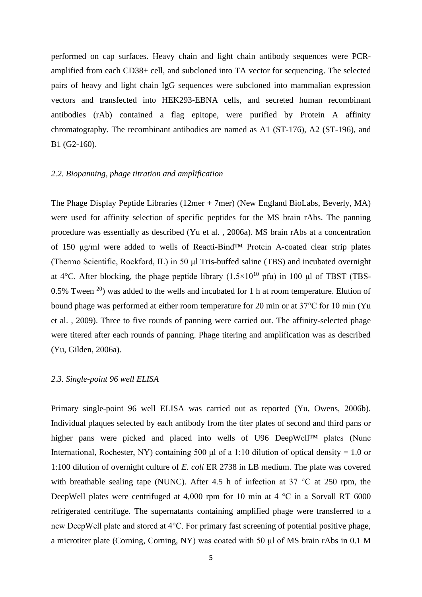performed on cap surfaces. Heavy chain and light chain antibody sequences were PCRamplified from each CD38+ cell, and subcloned into TA vector for sequencing. The selected pairs of heavy and light chain IgG sequences were subcloned into mammalian expression vectors and transfected into HEK293-EBNA cells, and secreted human recombinant antibodies (rAb) contained a flag epitope, were purified by Protein A affinity chromatography. The recombinant antibodies are named as A1 (ST-176), A2 (ST-196), and B1 (G2-160).

#### *2.2. Biopanning, phage titration and amplification*

The Phage Display Peptide Libraries (12mer + 7mer) (New England BioLabs, Beverly, MA) were used for affinity selection of specific peptides for the MS brain rAbs. The panning procedure was essentially as described (Yu et al. , 2006a). MS brain rAbs at a concentration of 150 μg/ml were added to wells of Reacti-Bind™ Protein A-coated clear strip plates (Thermo Scientific, Rockford, IL) in 50 μl Tris-buffed saline (TBS) and incubated overnight at 4 $\degree$ C. After blocking, the phage peptide library (1.5×10<sup>10</sup> pfu) in 100 µl of TBST (TBS-0.5% Tween  $20$ ) was added to the wells and incubated for 1 h at room temperature. Elution of bound phage was performed at either room temperature for 20 min or at 37°C for 10 min (Yu et al. , 2009). Three to five rounds of panning were carried out. The affinity-selected phage were titered after each rounds of panning. Phage titering and amplification was as described (Yu, Gilden, 2006a).

#### *2.3. Single-point 96 well ELISA*

Primary single-point 96 well ELISA was carried out as reported (Yu, Owens, 2006b). Individual plaques selected by each antibody from the titer plates of second and third pans or higher pans were picked and placed into wells of U96 DeepWell™ plates (Nunc International, Rochester, NY) containing 500  $\mu$ l of a 1:10 dilution of optical density = 1.0 or 1:100 dilution of overnight culture of *E. coli* ER 2738 in LB medium. The plate was covered with breathable sealing tape (NUNC). After 4.5 h of infection at 37 °C at 250 rpm, the DeepWell plates were centrifuged at 4,000 rpm for 10 min at 4 °C in a Sorvall RT 6000 refrigerated centrifuge. The supernatants containing amplified phage were transferred to a new DeepWell plate and stored at 4°C. For primary fast screening of potential positive phage, a microtiter plate (Corning, Corning, NY) was coated with 50 μl of MS brain rAbs in 0.1 M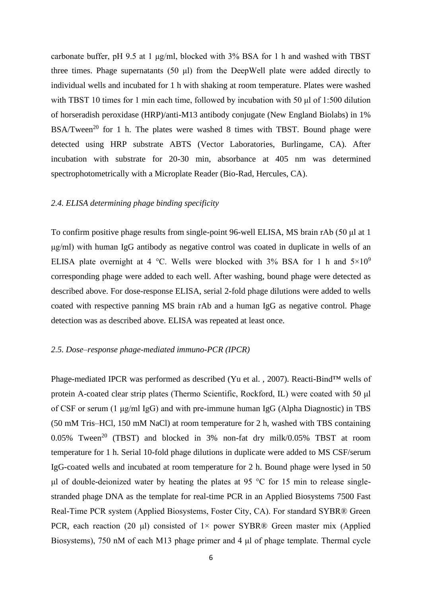carbonate buffer, pH 9.5 at 1 μg/ml, blocked with 3% BSA for 1 h and washed with TBST three times. Phage supernatants (50 μl) from the DeepWell plate were added directly to individual wells and incubated for 1 h with shaking at room temperature. Plates were washed with TBST 10 times for 1 min each time, followed by incubation with 50 μl of 1:500 dilution of horseradish peroxidase (HRP)/anti-M13 antibody conjugate (New England Biolabs) in 1% BSA/Tween<sup>20</sup> for 1 h. The plates were washed 8 times with TBST. Bound phage were detected using HRP substrate ABTS (Vector Laboratories, Burlingame, CA). After incubation with substrate for 20-30 min, absorbance at 405 nm was determined spectrophotometrically with a Microplate Reader (Bio-Rad, Hercules, CA).

### *2.4. ELISA determining phage binding specificity*

To confirm positive phage results from single-point 96-well ELISA, MS brain rAb (50 μl at 1 μg/ml) with human IgG antibody as negative control was coated in duplicate in wells of an ELISA plate overnight at 4 °C. Wells were blocked with 3% BSA for 1 h and  $5\times10^{9}$ corresponding phage were added to each well. After washing, bound phage were detected as described above. For dose-response ELISA, serial 2-fold phage dilutions were added to wells coated with respective panning MS brain rAb and a human IgG as negative control. Phage detection was as described above. ELISA was repeated at least once.

## *2.5. Dose–response phage-mediated immuno-PCR (IPCR)*

Phage-mediated IPCR was performed as described (Yu et al. , 2007). Reacti-Bind™ wells of protein A-coated clear strip plates (Thermo Scientific, Rockford, IL) were coated with 50 μl of CSF or serum (1 μg/ml IgG) and with pre-immune human IgG (Alpha Diagnostic) in TBS (50 mM Tris–HCl, 150 mM NaCl) at room temperature for 2 h, washed with TBS containing  $0.05\%$  Tween<sup>20</sup> (TBST) and blocked in 3% non-fat dry milk/0.05% TBST at room temperature for 1 h. Serial 10-fold phage dilutions in duplicate were added to MS CSF/serum IgG-coated wells and incubated at room temperature for 2 h. Bound phage were lysed in 50 μl of double-deionized water by heating the plates at 95 °C for 15 min to release singlestranded phage DNA as the template for real-time PCR in an Applied Biosystems 7500 Fast Real-Time PCR system (Applied Biosystems, Foster City, CA). For standard SYBR® Green PCR, each reaction (20 μl) consisted of  $1 \times$  power SYBR® Green master mix (Applied Biosystems), 750 nM of each M13 phage primer and 4 μl of phage template. Thermal cycle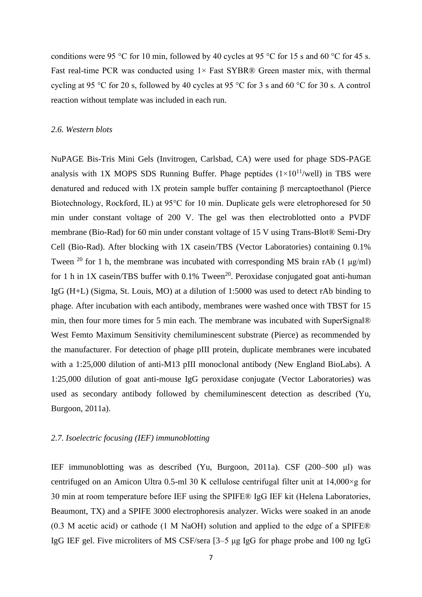conditions were 95 °C for 10 min, followed by 40 cycles at 95 °C for 15 s and 60 °C for 45 s. Fast real-time PCR was conducted using  $1 \times$  Fast SYBR® Green master mix, with thermal cycling at 95 °C for 20 s, followed by 40 cycles at 95 °C for 3 s and 60 °C for 30 s. A control reaction without template was included in each run.

#### *2.6. Western blots*

NuPAGE Bis-Tris Mini Gels (Invitrogen, Carlsbad, CA) were used for phage SDS-PAGE analysis with 1X MOPS SDS Running Buffer. Phage peptides  $(1\times10^{11}/\text{well})$  in TBS were denatured and reduced with 1X protein sample buffer containing β mercaptoethanol (Pierce Biotechnology, Rockford, IL) at 95°C for 10 min. Duplicate gels were eletrophoresed for 50 min under constant voltage of 200 V. The gel was then electroblotted onto a PVDF membrane (Bio-Rad) for 60 min under constant voltage of 15 V using Trans-Blot® Semi-Dry Cell (Bio-Rad). After blocking with 1X casein/TBS (Vector Laboratories) containing 0.1% Tween <sup>20</sup> for 1 h, the membrane was incubated with corresponding MS brain rAb (1  $\mu$ g/ml) for 1 h in 1X casein/TBS buffer with  $0.1\%$  Tween<sup>20</sup>. Peroxidase conjugated goat anti-human IgG (H+L) (Sigma, St. Louis, MO) at a dilution of 1:5000 was used to detect rAb binding to phage. After incubation with each antibody, membranes were washed once with TBST for 15 min, then four more times for 5 min each. The membrane was incubated with SuperSignal® West Femto Maximum Sensitivity chemiluminescent substrate (Pierce) as recommended by the manufacturer. For detection of phage pIII protein, duplicate membranes were incubated with a 1:25,000 dilution of anti-M13 pIII monoclonal antibody (New England BioLabs). A 1:25,000 dilution of goat anti-mouse IgG peroxidase conjugate (Vector Laboratories) was used as secondary antibody followed by chemiluminescent detection as described (Yu, Burgoon, 2011a).

## *2.7. Isoelectric focusing (IEF) immunoblotting*

IEF immunoblotting was as described (Yu, Burgoon, 2011a). CSF (200–500 μl) was centrifuged on an Amicon Ultra 0.5-ml 30 K cellulose centrifugal filter unit at 14,000×g for 30 min at room temperature before IEF using the SPIFE® IgG IEF kit (Helena Laboratories, Beaumont, TX) and a SPIFE 3000 electrophoresis analyzer. Wicks were soaked in an anode (0.3 M acetic acid) or cathode (1 M NaOH) solution and applied to the edge of a SPIFE® IgG IEF gel. Five microliters of MS CSF/sera [3–5 μg IgG for phage probe and 100 ng IgG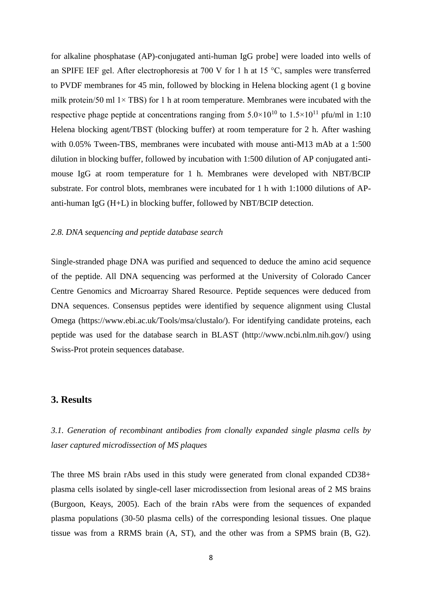for alkaline phosphatase (AP)-conjugated anti-human IgG probe] were loaded into wells of an SPIFE IEF gel. After electrophoresis at 700 V for 1 h at 15 °C, samples were transferred to PVDF membranes for 45 min, followed by blocking in Helena blocking agent (1 g bovine milk protein/50 ml  $1 \times TBS$ ) for 1 h at room temperature. Membranes were incubated with the respective phage peptide at concentrations ranging from  $5.0 \times 10^{10}$  to  $1.5 \times 10^{11}$  pfu/ml in 1:10 Helena blocking agent/TBST (blocking buffer) at room temperature for 2 h. After washing with 0.05% Tween-TBS, membranes were incubated with mouse anti-M13 mAb at a 1:500 dilution in blocking buffer, followed by incubation with 1:500 dilution of AP conjugated antimouse IgG at room temperature for 1 h. Membranes were developed with NBT/BCIP substrate. For control blots, membranes were incubated for 1 h with 1:1000 dilutions of APanti-human IgG (H+L) in blocking buffer, followed by NBT/BCIP detection.

#### *2.8. DNA sequencing and peptide database search*

Single-stranded phage DNA was purified and sequenced to deduce the amino acid sequence of the peptide. All DNA sequencing was performed at the University of Colorado Cancer Centre Genomics and Microarray Shared Resource. Peptide sequences were deduced from DNA sequences. Consensus peptides were identified by sequence alignment using Clustal Omega (https://www.ebi.ac.uk/Tools/msa/clustalo/). For identifying candidate proteins, each peptide was used for the database search in BLAST (http://www.ncbi.nlm.nih.gov/) using Swiss-Prot protein sequences database.

## **3. Results**

*3.1. Generation of recombinant antibodies from clonally expanded single plasma cells by laser captured microdissection of MS plaques* 

The three MS brain rAbs used in this study were generated from clonal expanded CD38+ plasma cells isolated by single-cell laser microdissection from lesional areas of 2 MS brains (Burgoon, Keays, 2005). Each of the brain rAbs were from the sequences of expanded plasma populations (30-50 plasma cells) of the corresponding lesional tissues. One plaque tissue was from a RRMS brain (A, ST), and the other was from a SPMS brain (B, G2).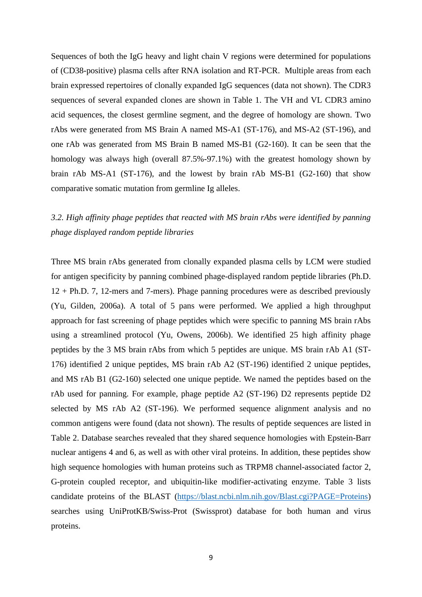Sequences of both the IgG heavy and light chain V regions were determined for populations of (CD38-positive) plasma cells after RNA isolation and RT-PCR. Multiple areas from each brain expressed repertoires of clonally expanded IgG sequences (data not shown). The CDR3 sequences of several expanded clones are shown in Table 1. The VH and VL CDR3 amino acid sequences, the closest germline segment, and the degree of homology are shown. Two rAbs were generated from MS Brain A named MS-A1 (ST-176), and MS-A2 (ST-196), and one rAb was generated from MS Brain B named MS-B1 (G2-160). It can be seen that the homology was always high (overall 87.5%-97.1%) with the greatest homology shown by brain rAb MS-A1 (ST-176), and the lowest by brain rAb MS-B1 (G2-160) that show comparative somatic mutation from germline Ig alleles.

## *3.2. High affinity phage peptides that reacted with MS brain rAbs were identified by panning phage displayed random peptide libraries*

Three MS brain rAbs generated from clonally expanded plasma cells by LCM were studied for antigen specificity by panning combined phage-displayed random peptide libraries (Ph.D. 12 + Ph.D. 7, 12-mers and 7-mers). Phage panning procedures were as described previously (Yu, Gilden, 2006a). A total of 5 pans were performed. We applied a high throughput approach for fast screening of phage peptides which were specific to panning MS brain rAbs using a streamlined protocol (Yu, Owens, 2006b). We identified 25 high affinity phage peptides by the 3 MS brain rAbs from which 5 peptides are unique. MS brain rAb A1 (ST-176) identified 2 unique peptides, MS brain rAb A2 (ST-196) identified 2 unique peptides, and MS rAb B1 (G2-160) selected one unique peptide. We named the peptides based on the rAb used for panning. For example, phage peptide A2 (ST-196) D2 represents peptide D2 selected by MS rAb A2 (ST-196). We performed sequence alignment analysis and no common antigens were found (data not shown). The results of peptide sequences are listed in Table 2. Database searches revealed that they shared sequence homologies with Epstein-Barr nuclear antigens 4 and 6, as well as with other viral proteins. In addition, these peptides show high sequence homologies with human proteins such as TRPM8 channel-associated factor 2, G-protein coupled receptor, and ubiquitin-like modifier-activating enzyme. Table 3 lists candidate proteins of the BLAST [\(https://blast.ncbi.nlm.nih.gov/Blast.cgi?PAGE=Proteins\)](https://blast.ncbi.nlm.nih.gov/Blast.cgi?PAGE=Proteins) searches using UniProtKB/Swiss-Prot (Swissprot) database for both human and virus proteins.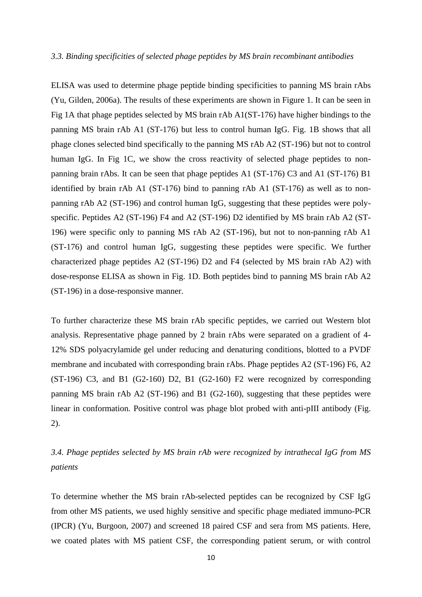#### *3.3. Binding specificities of selected phage peptides by MS brain recombinant antibodies*

ELISA was used to determine phage peptide binding specificities to panning MS brain rAbs (Yu, Gilden, 2006a). The results of these experiments are shown in Figure 1. It can be seen in Fig 1A that phage peptides selected by MS brain rAb A1(ST-176) have higher bindings to the panning MS brain rAb A1 (ST-176) but less to control human IgG. Fig. 1B shows that all phage clones selected bind specifically to the panning MS rAb A2 (ST-196) but not to control human IgG. In Fig 1C, we show the cross reactivity of selected phage peptides to nonpanning brain rAbs. It can be seen that phage peptides A1 (ST-176) C3 and A1 (ST-176) B1 identified by brain rAb A1 (ST-176) bind to panning rAb A1 (ST-176) as well as to nonpanning rAb A2 (ST-196) and control human IgG, suggesting that these peptides were polyspecific. Peptides A2 (ST-196) F4 and A2 (ST-196) D2 identified by MS brain rAb A2 (ST-196) were specific only to panning MS rAb A2 (ST-196), but not to non-panning rAb A1 (ST-176) and control human IgG, suggesting these peptides were specific. We further characterized phage peptides A2 (ST-196) D2 and F4 (selected by MS brain rAb A2) with dose-response ELISA as shown in Fig. 1D. Both peptides bind to panning MS brain rAb A2 (ST-196) in a dose-responsive manner.

To further characterize these MS brain rAb specific peptides, we carried out Western blot analysis. Representative phage panned by 2 brain rAbs were separated on a gradient of 4- 12% SDS polyacrylamide gel under reducing and denaturing conditions, blotted to a PVDF membrane and incubated with corresponding brain rAbs. Phage peptides A2 (ST-196) F6, A2  $(ST-196)$  C3, and B1  $(G2-160)$  D2, B1  $(G2-160)$  F2 were recognized by corresponding panning MS brain rAb A2 (ST-196) and B1 (G2-160), suggesting that these peptides were linear in conformation. Positive control was phage blot probed with anti-pIII antibody (Fig. 2).

## *3.4. Phage peptides selected by MS brain rAb were recognized by intrathecal IgG from MS patients*

To determine whether the MS brain rAb-selected peptides can be recognized by CSF IgG from other MS patients, we used highly sensitive and specific phage mediated immuno-PCR (IPCR) (Yu, Burgoon, 2007) and screened 18 paired CSF and sera from MS patients. Here, we coated plates with MS patient CSF, the corresponding patient serum, or with control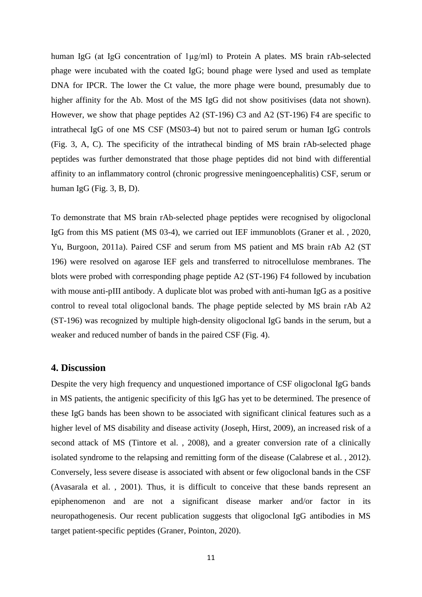human IgG (at IgG concentration of 1µg/ml) to Protein A plates. MS brain rAb-selected phage were incubated with the coated IgG; bound phage were lysed and used as template DNA for IPCR. The lower the Ct value, the more phage were bound, presumably due to higher affinity for the Ab. Most of the MS IgG did not show positivises (data not shown). However, we show that phage peptides A2 (ST-196) C3 and A2 (ST-196) F4 are specific to intrathecal IgG of one MS CSF (MS03-4) but not to paired serum or human IgG controls (Fig. 3, A, C). The specificity of the intrathecal binding of MS brain rAb-selected phage peptides was further demonstrated that those phage peptides did not bind with differential affinity to an inflammatory control (chronic progressive meningoencephalitis) CSF, serum or human IgG (Fig. 3, B, D).

To demonstrate that MS brain rAb-selected phage peptides were recognised by oligoclonal IgG from this MS patient (MS 03-4), we carried out IEF immunoblots (Graner et al. , 2020, Yu, Burgoon, 2011a). Paired CSF and serum from MS patient and MS brain rAb A2 (ST 196) were resolved on agarose IEF gels and transferred to nitrocellulose membranes. The blots were probed with corresponding phage peptide A2 (ST-196) F4 followed by incubation with mouse anti-pIII antibody. A duplicate blot was probed with anti-human IgG as a positive control to reveal total oligoclonal bands. The phage peptide selected by MS brain rAb A2 (ST-196) was recognized by multiple high-density oligoclonal IgG bands in the serum, but a weaker and reduced number of bands in the paired CSF (Fig. 4).

### **4. Discussion**

Despite the very high frequency and unquestioned importance of CSF oligoclonal IgG bands in MS patients, the antigenic specificity of this IgG has yet to be determined. The presence of these IgG bands has been shown to be associated with significant clinical features such as a higher level of MS disability and disease activity (Joseph, Hirst, 2009), an increased risk of a second attack of MS (Tintore et al. , 2008), and a greater conversion rate of a clinically isolated syndrome to the relapsing and remitting form of the disease (Calabrese et al. , 2012). Conversely, less severe disease is associated with absent or few oligoclonal bands in the CSF (Avasarala et al. , 2001). Thus, it is difficult to conceive that these bands represent an epiphenomenon and are not a significant disease marker and/or factor in its neuropathogenesis. Our recent publication suggests that oligoclonal IgG antibodies in MS target patient-specific peptides (Graner, Pointon, 2020).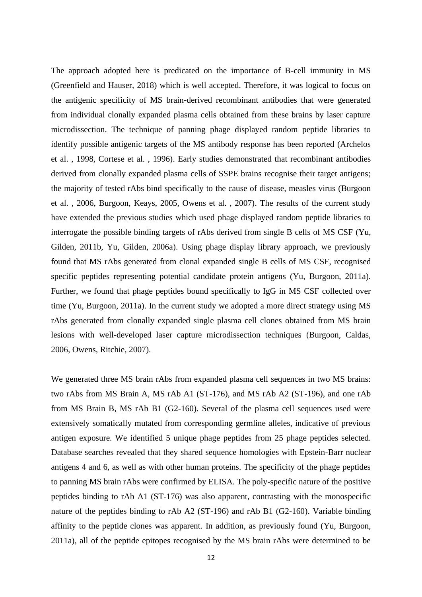The approach adopted here is predicated on the importance of B-cell immunity in MS (Greenfield and Hauser, 2018) which is well accepted. Therefore, it was logical to focus on the antigenic specificity of MS brain-derived recombinant antibodies that were generated from individual clonally expanded plasma cells obtained from these brains by laser capture microdissection. The technique of panning phage displayed random peptide libraries to identify possible antigenic targets of the MS antibody response has been reported (Archelos et al. , 1998, Cortese et al. , 1996). Early studies demonstrated that recombinant antibodies derived from clonally expanded plasma cells of SSPE brains recognise their target antigens; the majority of tested rAbs bind specifically to the cause of disease, measles virus (Burgoon et al. , 2006, Burgoon, Keays, 2005, Owens et al. , 2007). The results of the current study have extended the previous studies which used phage displayed random peptide libraries to interrogate the possible binding targets of rAbs derived from single B cells of MS CSF (Yu, Gilden, 2011b, Yu, Gilden, 2006a). Using phage display library approach, we previously found that MS rAbs generated from clonal expanded single B cells of MS CSF, recognised specific peptides representing potential candidate protein antigens (Yu, Burgoon, 2011a). Further, we found that phage peptides bound specifically to IgG in MS CSF collected over time (Yu, Burgoon, 2011a). In the current study we adopted a more direct strategy using MS rAbs generated from clonally expanded single plasma cell clones obtained from MS brain lesions with well-developed laser capture microdissection techniques (Burgoon, Caldas, 2006, Owens, Ritchie, 2007).

We generated three MS brain rAbs from expanded plasma cell sequences in two MS brains: two rAbs from MS Brain A, MS rAb A1 (ST-176), and MS rAb A2 (ST-196), and one rAb from MS Brain B, MS rAb B1 (G2-160). Several of the plasma cell sequences used were extensively somatically mutated from corresponding germline alleles, indicative of previous antigen exposure. We identified 5 unique phage peptides from 25 phage peptides selected. Database searches revealed that they shared sequence homologies with Epstein-Barr nuclear antigens 4 and 6, as well as with other human proteins. The specificity of the phage peptides to panning MS brain rAbs were confirmed by ELISA. The poly-specific nature of the positive peptides binding to rAb A1 (ST-176) was also apparent, contrasting with the monospecific nature of the peptides binding to rAb A2 (ST-196) and rAb B1 (G2-160). Variable binding affinity to the peptide clones was apparent. In addition, as previously found (Yu, Burgoon, 2011a), all of the peptide epitopes recognised by the MS brain rAbs were determined to be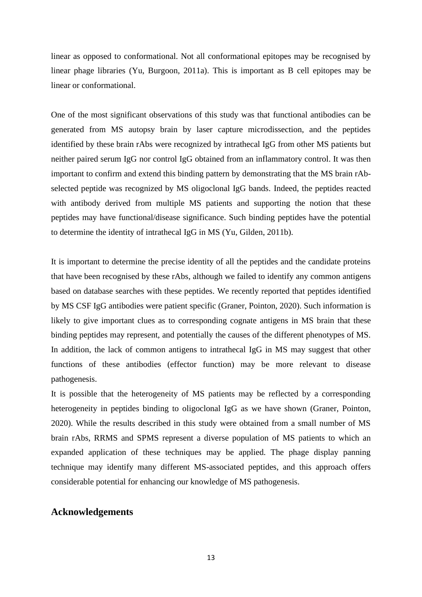linear as opposed to conformational. Not all conformational epitopes may be recognised by linear phage libraries (Yu, Burgoon, 2011a). This is important as B cell epitopes may be linear or conformational.

One of the most significant observations of this study was that functional antibodies can be generated from MS autopsy brain by laser capture microdissection, and the peptides identified by these brain rAbs were recognized by intrathecal IgG from other MS patients but neither paired serum IgG nor control IgG obtained from an inflammatory control. It was then important to confirm and extend this binding pattern by demonstrating that the MS brain rAbselected peptide was recognized by MS oligoclonal IgG bands. Indeed, the peptides reacted with antibody derived from multiple MS patients and supporting the notion that these peptides may have functional/disease significance. Such binding peptides have the potential to determine the identity of intrathecal IgG in MS (Yu, Gilden, 2011b).

It is important to determine the precise identity of all the peptides and the candidate proteins that have been recognised by these rAbs, although we failed to identify any common antigens based on database searches with these peptides. We recently reported that peptides identified by MS CSF IgG antibodies were patient specific (Graner, Pointon, 2020). Such information is likely to give important clues as to corresponding cognate antigens in MS brain that these binding peptides may represent, and potentially the causes of the different phenotypes of MS. In addition, the lack of common antigens to intrathecal IgG in MS may suggest that other functions of these antibodies (effector function) may be more relevant to disease pathogenesis.

It is possible that the heterogeneity of MS patients may be reflected by a corresponding heterogeneity in peptides binding to oligoclonal IgG as we have shown (Graner, Pointon, 2020). While the results described in this study were obtained from a small number of MS brain rAbs, RRMS and SPMS represent a diverse population of MS patients to which an expanded application of these techniques may be applied. The phage display panning technique may identify many different MS-associated peptides, and this approach offers considerable potential for enhancing our knowledge of MS pathogenesis.

## **Acknowledgements**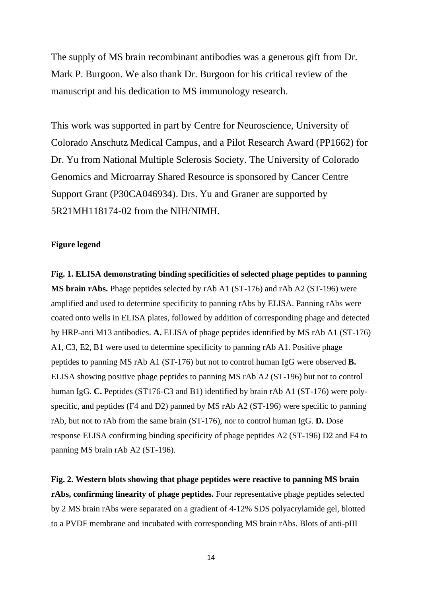The supply of MS brain recombinant antibodies was a generous gift from Dr. Mark P. Burgoon. We also thank Dr. Burgoon for his critical review of the manuscript and his dedication to MS immunology research.

This work was supported in part by Centre for Neuroscience, University of Colorado Anschutz Medical Campus, and a Pilot Research Award (PP1662) for Dr. Yu from National Multiple Sclerosis Society. The University of Colorado Genomics and Microarray Shared Resource is sponsored by Cancer Centre Support Grant (P30CA046934). Drs. Yu and Graner are supported by 5R21MH118174-02 from the NIH/NIMH.

## **Figure legend**

**Fig. 1. ELISA demonstrating binding specificities of selected phage peptides to panning MS brain rAbs.** Phage peptides selected by rAb A1 (ST-176) and rAb A2 (ST-196) were amplified and used to determine specificity to panning rAbs by ELISA. Panning rAbs were coated onto wells in ELISA plates, followed by addition of corresponding phage and detected by HRP-anti M13 antibodies. **A.** ELISA of phage peptides identified by MS rAb A1 (ST-176) A1, C3, E2, B1 were used to determine specificity to panning rAb A1. Positive phage peptides to panning MS rAb A1 (ST-176) but not to control human IgG were observed **B.** ELISA showing positive phage peptides to panning MS rAb A2 (ST-196) but not to control human IgG. **C.** Peptides (ST176-C3 and B1) identified by brain rAb A1 (ST-176) were polyspecific, and peptides (F4 and D2) panned by MS rAb A2 (ST-196) were specific to panning rAb, but not to rAb from the same brain (ST-176), nor to control human IgG. **D.** Dose response ELISA confirming binding specificity of phage peptides A2 (ST-196) D2 and F4 to panning MS brain rAb A2 (ST-196).

**Fig. 2. Western blots showing that phage peptides were reactive to panning MS brain rAbs, confirming linearity of phage peptides.** Four representative phage peptides selected by 2 MS brain rAbs were separated on a gradient of 4-12% SDS polyacrylamide gel, blotted to a PVDF membrane and incubated with corresponding MS brain rAbs. Blots of anti-pIII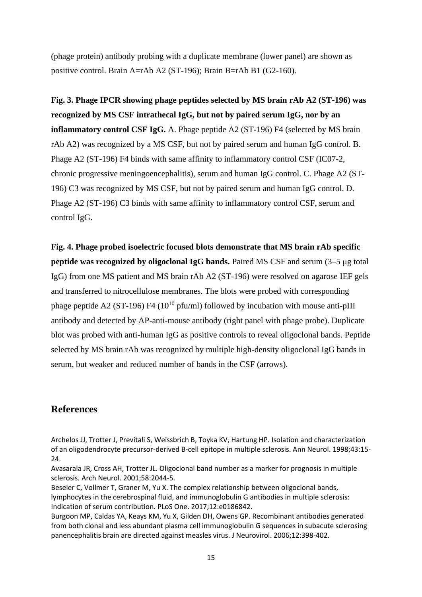(phage protein) antibody probing with a duplicate membrane (lower panel) are shown as positive control. Brain A=rAb A2 (ST-196); Brain B=rAb B1 (G2-160).

**Fig. 3. Phage IPCR showing phage peptides selected by MS brain rAb A2 (ST-196) was recognized by MS CSF intrathecal IgG, but not by paired serum IgG, nor by an inflammatory control CSF IgG.** A. Phage peptide A2 (ST-196) F4 (selected by MS brain rAb A2) was recognized by a MS CSF, but not by paired serum and human IgG control. B. Phage A2 (ST-196) F4 binds with same affinity to inflammatory control CSF (IC07-2, chronic progressive meningoencephalitis), serum and human IgG control. C. Phage A2 (ST-196) C3 was recognized by MS CSF, but not by paired serum and human IgG control. D. Phage A2 (ST-196) C3 binds with same affinity to inflammatory control CSF, serum and control IgG.

**Fig. 4. Phage probed isoelectric focused blots demonstrate that MS brain rAb specific peptide was recognized by oligoclonal IgG bands.** Paired MS CSF and serum (3–5 μg total IgG) from one MS patient and MS brain rAb A2 (ST-196) were resolved on agarose IEF gels and transferred to nitrocellulose membranes. The blots were probed with corresponding phage peptide A2 (ST-196) F4 ( $10^{10}$  pfu/ml) followed by incubation with mouse anti-pIII antibody and detected by AP-anti-mouse antibody (right panel with phage probe). Duplicate blot was probed with anti-human IgG as positive controls to reveal oligoclonal bands. Peptide selected by MS brain rAb was recognized by multiple high-density oligoclonal IgG bands in serum, but weaker and reduced number of bands in the CSF (arrows).

## **References**

Archelos JJ, Trotter J, Previtali S, Weissbrich B, Toyka KV, Hartung HP. Isolation and characterization of an oligodendrocyte precursor-derived B-cell epitope in multiple sclerosis. Ann Neurol. 1998;43:15- 24.

Avasarala JR, Cross AH, Trotter JL. Oligoclonal band number as a marker for prognosis in multiple sclerosis. Arch Neurol. 2001;58:2044-5.

Beseler C, Vollmer T, Graner M, Yu X. The complex relationship between oligoclonal bands, lymphocytes in the cerebrospinal fluid, and immunoglobulin G antibodies in multiple sclerosis: Indication of serum contribution. PLoS One. 2017;12:e0186842.

Burgoon MP, Caldas YA, Keays KM, Yu X, Gilden DH, Owens GP. Recombinant antibodies generated from both clonal and less abundant plasma cell immunoglobulin G sequences in subacute sclerosing panencephalitis brain are directed against measles virus. J Neurovirol. 2006;12:398-402.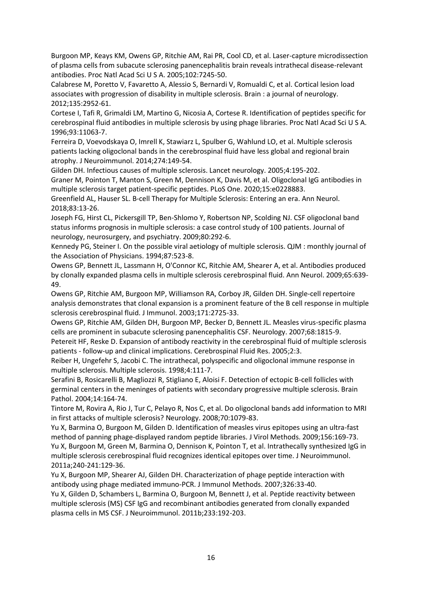Burgoon MP, Keays KM, Owens GP, Ritchie AM, Rai PR, Cool CD, et al. Laser-capture microdissection of plasma cells from subacute sclerosing panencephalitis brain reveals intrathecal disease-relevant antibodies. Proc Natl Acad Sci U S A. 2005;102:7245-50.

Calabrese M, Poretto V, Favaretto A, Alessio S, Bernardi V, Romualdi C, et al. Cortical lesion load associates with progression of disability in multiple sclerosis. Brain : a journal of neurology. 2012;135:2952-61.

Cortese I, Tafi R, Grimaldi LM, Martino G, Nicosia A, Cortese R. Identification of peptides specific for cerebrospinal fluid antibodies in multiple sclerosis by using phage libraries. Proc Natl Acad Sci U S A. 1996;93:11063-7.

Ferreira D, Voevodskaya O, Imrell K, Stawiarz L, Spulber G, Wahlund LO, et al. Multiple sclerosis patients lacking oligoclonal bands in the cerebrospinal fluid have less global and regional brain atrophy. J Neuroimmunol. 2014;274:149-54.

Gilden DH. Infectious causes of multiple sclerosis. Lancet neurology. 2005;4:195-202.

Graner M, Pointon T, Manton S, Green M, Dennison K, Davis M, et al. Oligoclonal IgG antibodies in multiple sclerosis target patient-specific peptides. PLoS One. 2020;15:e0228883.

Greenfield AL, Hauser SL. B-cell Therapy for Multiple Sclerosis: Entering an era. Ann Neurol. 2018;83:13-26.

Joseph FG, Hirst CL, Pickersgill TP, Ben-Shlomo Y, Robertson NP, Scolding NJ. CSF oligoclonal band status informs prognosis in multiple sclerosis: a case control study of 100 patients. Journal of neurology, neurosurgery, and psychiatry. 2009;80:292-6.

Kennedy PG, Steiner I. On the possible viral aetiology of multiple sclerosis. QJM : monthly journal of the Association of Physicians. 1994;87:523-8.

Owens GP, Bennett JL, Lassmann H, O'Connor KC, Ritchie AM, Shearer A, et al. Antibodies produced by clonally expanded plasma cells in multiple sclerosis cerebrospinal fluid. Ann Neurol. 2009;65:639- 49.

Owens GP, Ritchie AM, Burgoon MP, Williamson RA, Corboy JR, Gilden DH. Single-cell repertoire analysis demonstrates that clonal expansion is a prominent feature of the B cell response in multiple sclerosis cerebrospinal fluid. J Immunol. 2003;171:2725-33.

Owens GP, Ritchie AM, Gilden DH, Burgoon MP, Becker D, Bennett JL. Measles virus-specific plasma cells are prominent in subacute sclerosing panencephalitis CSF. Neurology. 2007;68:1815-9.

Petereit HF, Reske D. Expansion of antibody reactivity in the cerebrospinal fluid of multiple sclerosis patients - follow-up and clinical implications. Cerebrospinal Fluid Res. 2005;2:3.

Reiber H, Ungefehr S, Jacobi C. The intrathecal, polyspecific and oligoclonal immune response in multiple sclerosis. Multiple sclerosis. 1998;4:111-7.

Serafini B, Rosicarelli B, Magliozzi R, Stigliano E, Aloisi F. Detection of ectopic B-cell follicles with germinal centers in the meninges of patients with secondary progressive multiple sclerosis. Brain Pathol. 2004;14:164-74.

Tintore M, Rovira A, Rio J, Tur C, Pelayo R, Nos C, et al. Do oligoclonal bands add information to MRI in first attacks of multiple sclerosis? Neurology. 2008;70:1079-83.

Yu X, Barmina O, Burgoon M, Gilden D. Identification of measles virus epitopes using an ultra-fast method of panning phage-displayed random peptide libraries. J Virol Methods. 2009;156:169-73. Yu X, Burgoon M, Green M, Barmina O, Dennison K, Pointon T, et al. Intrathecally synthesized IgG in multiple sclerosis cerebrospinal fluid recognizes identical epitopes over time. J Neuroimmunol. 2011a;240-241:129-36.

Yu X, Burgoon MP, Shearer AJ, Gilden DH. Characterization of phage peptide interaction with antibody using phage mediated immuno-PCR. J Immunol Methods. 2007;326:33-40.

Yu X, Gilden D, Schambers L, Barmina O, Burgoon M, Bennett J, et al. Peptide reactivity between multiple sclerosis (MS) CSF IgG and recombinant antibodies generated from clonally expanded plasma cells in MS CSF. J Neuroimmunol. 2011b;233:192-203.